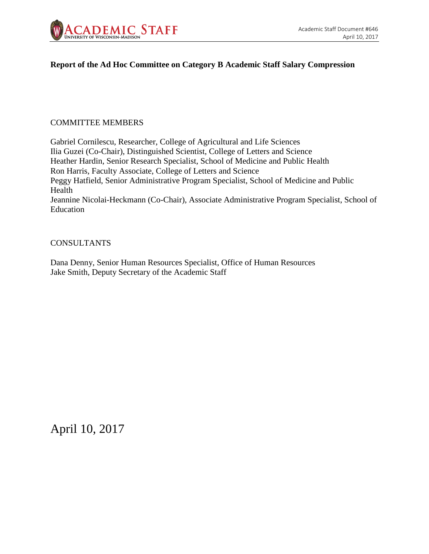

#### **Report of the Ad Hoc Committee on Category B Academic Staff Salary Compression**

#### COMMITTEE MEMBERS

Gabriel Cornilescu, Researcher, College of Agricultural and Life Sciences Ilia Guzei (Co-Chair), Distinguished Scientist, College of Letters and Science Heather Hardin, Senior Research Specialist, School of Medicine and Public Health Ron Harris, Faculty Associate, College of Letters and Science Peggy Hatfield, Senior Administrative Program Specialist, School of Medicine and Public Health Jeannine Nicolai-Heckmann (Co-Chair), Associate Administrative Program Specialist, School of Education

#### **CONSULTANTS**

Dana Denny, Senior Human Resources Specialist, Office of Human Resources Jake Smith, Deputy Secretary of the Academic Staff

April 10, 2017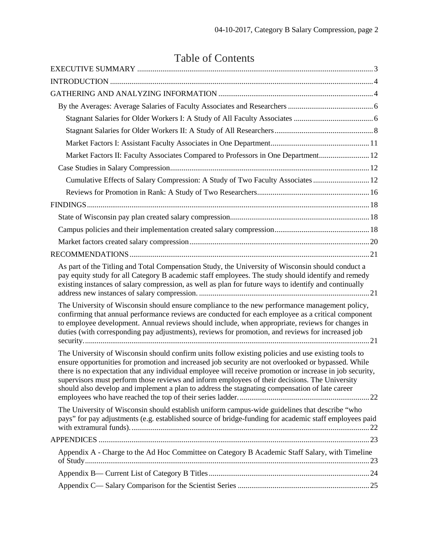# Table of Contents

| Market Factors II: Faculty Associates Compared to Professors in One Department 12                                                                                                                                                                                                                                                                                                                                                                                                                                          |
|----------------------------------------------------------------------------------------------------------------------------------------------------------------------------------------------------------------------------------------------------------------------------------------------------------------------------------------------------------------------------------------------------------------------------------------------------------------------------------------------------------------------------|
|                                                                                                                                                                                                                                                                                                                                                                                                                                                                                                                            |
| Cumulative Effects of Salary Compression: A Study of Two Faculty Associates  12                                                                                                                                                                                                                                                                                                                                                                                                                                            |
|                                                                                                                                                                                                                                                                                                                                                                                                                                                                                                                            |
|                                                                                                                                                                                                                                                                                                                                                                                                                                                                                                                            |
|                                                                                                                                                                                                                                                                                                                                                                                                                                                                                                                            |
|                                                                                                                                                                                                                                                                                                                                                                                                                                                                                                                            |
|                                                                                                                                                                                                                                                                                                                                                                                                                                                                                                                            |
|                                                                                                                                                                                                                                                                                                                                                                                                                                                                                                                            |
| As part of the Titling and Total Compensation Study, the University of Wisconsin should conduct a<br>pay equity study for all Category B academic staff employees. The study should identify and remedy<br>existing instances of salary compression, as well as plan for future ways to identify and continually                                                                                                                                                                                                           |
| The University of Wisconsin should ensure compliance to the new performance management policy,<br>confirming that annual performance reviews are conducted for each employee as a critical component<br>to employee development. Annual reviews should include, when appropriate, reviews for changes in<br>duties (with corresponding pay adjustments), reviews for promotion, and reviews for increased job                                                                                                              |
| The University of Wisconsin should confirm units follow existing policies and use existing tools to<br>ensure opportunities for promotion and increased job security are not overlooked or bypassed. While<br>there is no expectation that any individual employee will receive promotion or increase in job security,<br>supervisors must perform those reviews and inform employees of their decisions. The University<br>should also develop and implement a plan to address the stagnating compensation of late career |
| The University of Wisconsin should establish uniform campus-wide guidelines that describe "who<br>pays" for pay adjustments (e.g. established source of bridge-funding for academic staff employees paid                                                                                                                                                                                                                                                                                                                   |
|                                                                                                                                                                                                                                                                                                                                                                                                                                                                                                                            |
| Appendix A - Charge to the Ad Hoc Committee on Category B Academic Staff Salary, with Timeline                                                                                                                                                                                                                                                                                                                                                                                                                             |
|                                                                                                                                                                                                                                                                                                                                                                                                                                                                                                                            |
|                                                                                                                                                                                                                                                                                                                                                                                                                                                                                                                            |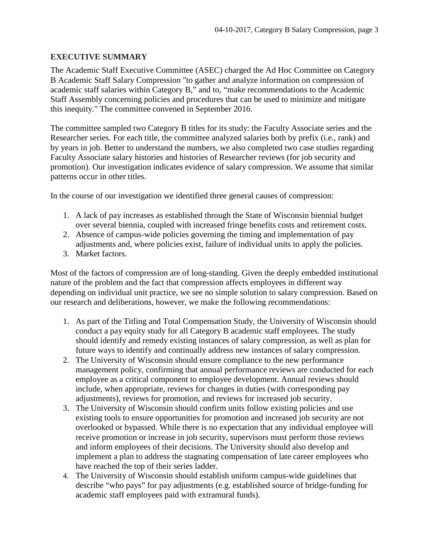#### <span id="page-2-0"></span>**EXECUTIVE SUMMARY**

The Academic Staff Executive Committee (ASEC) charged the Ad Hoc Committee on Category B Academic Staff Salary Compression "to gather and analyze information on compression of academic staff salaries within Category B," and to, "make recommendations to the Academic Staff Assembly concerning policies and procedures that can be used to minimize and mitigate this inequity." The committee convened in September 2016.

The committee sampled two Category B titles for its study: the Faculty Associate series and the Researcher series. For each title, the committee analyzed salaries both by prefix (i.e., rank) and by years in job. Better to understand the numbers, we also completed two case studies regarding Faculty Associate salary histories and histories of Researcher reviews (for job security and promotion). Our investigation indicates evidence of salary compression. We assume that similar patterns occur in other titles.

In the course of our investigation we identified three general causes of compression:

- 1. A lack of pay increases as established through the State of Wisconsin biennial budget over several biennia, coupled with increased fringe benefits costs and retirement costs.
- 2. Absence of campus-wide policies governing the timing and implementation of pay adjustments and, where policies exist, failure of individual units to apply the policies.
- 3. Market factors.

Most of the factors of compression are of long-standing. Given the deeply embedded institutional nature of the problem and the fact that compression affects employees in different way depending on individual unit practice, we see no simple solution to salary compression. Based on our research and deliberations, however, we make the following recommendations:

- 1. As part of the Titling and Total Compensation Study, the University of Wisconsin should conduct a pay equity study for all Category B academic staff employees. The study should identify and remedy existing instances of salary compression, as well as plan for future ways to identify and continually address new instances of salary compression.
- 2. The University of Wisconsin should ensure compliance to the new performance management policy, confirming that annual performance reviews are conducted for each employee as a critical component to employee development. Annual reviews should include, when appropriate, reviews for changes in duties (with corresponding pay adjustments), reviews for promotion, and reviews for increased job security.
- 3. The University of Wisconsin should confirm units follow existing policies and use existing tools to ensure opportunities for promotion and increased job security are not overlooked or bypassed. While there is no expectation that any individual employee will receive promotion or increase in job security, supervisors must perform those reviews and inform employees of their decisions. The University should also develop and implement a plan to address the stagnating compensation of late career employees who have reached the top of their series ladder.
- 4. The University of Wisconsin should establish uniform campus-wide guidelines that describe "who pays" for pay adjustments (e.g. established source of bridge-funding for academic staff employees paid with extramural funds).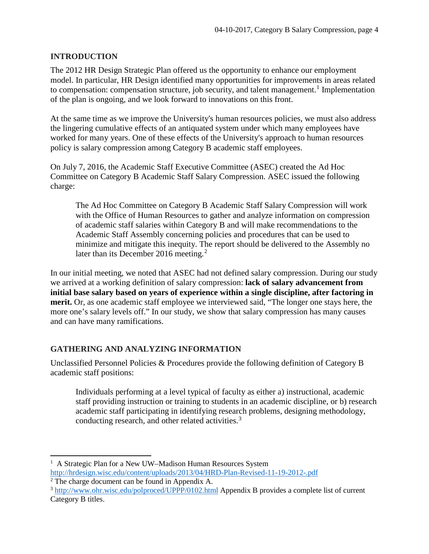## <span id="page-3-0"></span>**INTRODUCTION**

The 2012 HR Design Strategic Plan offered us the opportunity to enhance our employment model. In particular, HR Design identified many opportunities for improvements in areas related to compensation: compensation structure, job security, and talent management.<sup>[1](#page-3-2)</sup> Implementation of the plan is ongoing, and we look forward to innovations on this front.

At the same time as we improve the University's human resources policies, we must also address the lingering cumulative effects of an antiquated system under which many employees have worked for many years. One of these effects of the University's approach to human resources policy is salary compression among Category B academic staff employees.

On July 7, 2016, the Academic Staff Executive Committee (ASEC) created the Ad Hoc Committee on Category B Academic Staff Salary Compression. ASEC issued the following charge:

The Ad Hoc Committee on Category B Academic Staff Salary Compression will work with the Office of Human Resources to gather and analyze information on compression of academic staff salaries within Category B and will make recommendations to the Academic Staff Assembly concerning policies and procedures that can be used to minimize and mitigate this inequity. The report should be delivered to the Assembly no later than its December [2](#page-3-3)016 meeting.<sup>2</sup>

In our initial meeting, we noted that ASEC had not defined salary compression. During our study we arrived at a working definition of salary compression: **lack of salary advancement from initial base salary based on years of experience within a single discipline, after factoring in merit.** Or, as one academic staff employee we interviewed said, "The longer one stays here, the more one's salary levels off." In our study, we show that salary compression has many causes and can have many ramifications.

#### <span id="page-3-1"></span>**GATHERING AND ANALYZING INFORMATION**

Unclassified Personnel Policies & Procedures provide the following definition of Category B academic staff positions:

Individuals performing at a level typical of faculty as either a) instructional, academic staff providing instruction or training to students in an academic discipline, or b) research academic staff participating in identifying research problems, designing methodology, conducting research, and other related activities.<sup>[3](#page-3-4)</sup>

 $\frac{1}{1}$ <sup>1</sup> A Strategic Plan for a New UW–Madison Human Resources System

<span id="page-3-2"></span><http://hrdesign.wisc.edu/content/uploads/2013/04/HRD-Plan-Revised-11-19-2012-.pdf>

<span id="page-3-3"></span><sup>2</sup> The charge document can be found in Appendix A.

<span id="page-3-4"></span><sup>3</sup> <http://www.ohr.wisc.edu/polproced/UPPP/0102.html> Appendix B provides a complete list of current Category B titles.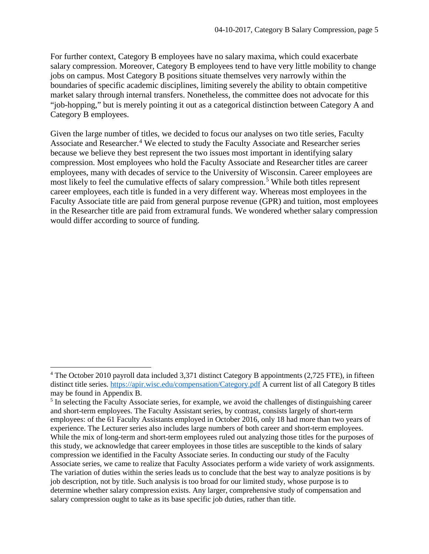For further context, Category B employees have no salary maxima, which could exacerbate salary compression. Moreover, Category B employees tend to have very little mobility to change jobs on campus. Most Category B positions situate themselves very narrowly within the boundaries of specific academic disciplines, limiting severely the ability to obtain competitive market salary through internal transfers. Nonetheless, the committee does not advocate for this "job-hopping," but is merely pointing it out as a categorical distinction between Category A and Category B employees.

Given the large number of titles, we decided to focus our analyses on two title series, Faculty Associate and Researcher. [4](#page-4-0) We elected to study the Faculty Associate and Researcher series because we believe they best represent the two issues most important in identifying salary compression. Most employees who hold the Faculty Associate and Researcher titles are career employees, many with decades of service to the University of Wisconsin. Career employees are most likely to feel the cumulative effects of salary compression.<sup>[5](#page-4-1)</sup> While both titles represent career employees, each title is funded in a very different way. Whereas most employees in the Faculty Associate title are paid from general purpose revenue (GPR) and tuition, most employees in the Researcher title are paid from extramural funds. We wondered whether salary compression would differ according to source of funding.

<span id="page-4-0"></span><sup>&</sup>lt;sup>4</sup> The October 2010 payroll data included 3,371 distinct Category B appointments (2,725 FTE), in fifteen distinct title series.<https://apir.wisc.edu/compensation/Category.pdf> A current list of all Category B titles may be found in Appendix B.

<span id="page-4-1"></span><sup>&</sup>lt;sup>5</sup> In selecting the Faculty Associate series, for example, we avoid the challenges of distinguishing career and short-term employees. The Faculty Assistant series, by contrast, consists largely of short-term employees: of the 61 Faculty Assistants employed in October 2016, only 18 had more than two years of experience. The Lecturer series also includes large numbers of both career and short-term employees. While the mix of long-term and short-term employees ruled out analyzing those titles for the purposes of this study, we acknowledge that career employees in those titles are susceptible to the kinds of salary compression we identified in the Faculty Associate series. In conducting our study of the Faculty Associate series, we came to realize that Faculty Associates perform a wide variety of work assignments. The variation of duties within the series leads us to conclude that the best way to analyze positions is by job description, not by title. Such analysis is too broad for our limited study, whose purpose is to determine whether salary compression exists. Any larger, comprehensive study of compensation and salary compression ought to take as its base specific job duties, rather than title.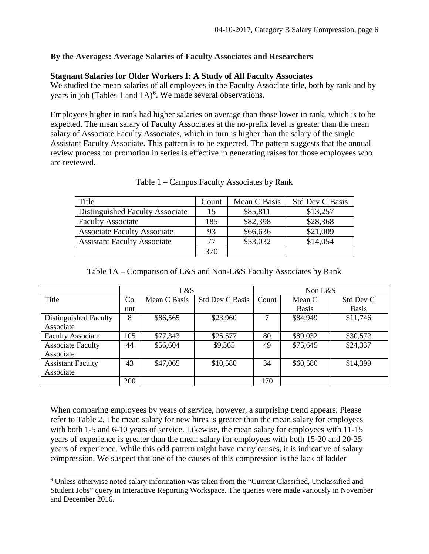#### <span id="page-5-0"></span>**By the Averages: Average Salaries of Faculty Associates and Researchers**

#### <span id="page-5-1"></span>**Stagnant Salaries for Older Workers I: A Study of All Faculty Associates**

We studied the mean salaries of all employees in the Faculty Associate title, both by rank and by years in job (Tables 1 and  $1A$ )<sup>[6](#page-5-2)</sup>. We made several observations.

Employees higher in rank had higher salaries on average than those lower in rank, which is to be expected. The mean salary of Faculty Associates at the no-prefix level is greater than the mean salary of Associate Faculty Associates, which in turn is higher than the salary of the single Assistant Faculty Associate. This pattern is to be expected. The pattern suggests that the annual review process for promotion in series is effective in generating raises for those employees who are reviewed.

| Title                              | Count | Mean C Basis | <b>Std Dev C Basis</b> |
|------------------------------------|-------|--------------|------------------------|
| Distinguished Faculty Associate    | 15    | \$85,811     | \$13,257               |
| <b>Faculty Associate</b>           | 185   | \$82,398     | \$28,368               |
| <b>Associate Faculty Associate</b> | 93    | \$66,636     | \$21,009               |
| <b>Assistant Faculty Associate</b> | 77    | \$53,032     | \$14,054               |
|                                    | 370   |              |                        |

Table 1 – Campus Faculty Associates by Rank

|                          | L&S |              |                        |       | Non $L&S$    |              |  |
|--------------------------|-----|--------------|------------------------|-------|--------------|--------------|--|
| Title                    | Co  | Mean C Basis | <b>Std Dev C Basis</b> | Count | Mean C       | Std Dev C    |  |
|                          | unt |              |                        |       | <b>Basis</b> | <b>Basis</b> |  |
| Distinguished Faculty    | 8   | \$86,565     | \$23,960               |       | \$84,949     | \$11,746     |  |
| Associate                |     |              |                        |       |              |              |  |
| <b>Faculty Associate</b> | 105 | \$77,343     | \$25,577               | 80    | \$89,032     | \$30,572     |  |
| <b>Associate Faculty</b> | 44  | \$56,604     | \$9,365                | 49    | \$75,645     | \$24,337     |  |
| Associate                |     |              |                        |       |              |              |  |
| <b>Assistant Faculty</b> | 43  | \$47,065     | \$10,580               | 34    | \$60,580     | \$14,399     |  |
| Associate                |     |              |                        |       |              |              |  |
|                          | 200 |              |                        | 170   |              |              |  |

When comparing employees by years of service, however, a surprising trend appears. Please refer to Table 2. The mean salary for new hires is greater than the mean salary for employees with both 1-5 and 6-10 years of service. Likewise, the mean salary for employees with 11-15 years of experience is greater than the mean salary for employees with both 15-20 and 20-25 years of experience. While this odd pattern might have many causes, it is indicative of salary compression. We suspect that one of the causes of this compression is the lack of ladder

<span id="page-5-2"></span> <sup>6</sup> Unless otherwise noted salary information was taken from the "Current Classified, Unclassified and Student Jobs" query in Interactive Reporting Workspace. The queries were made variously in November and December 2016.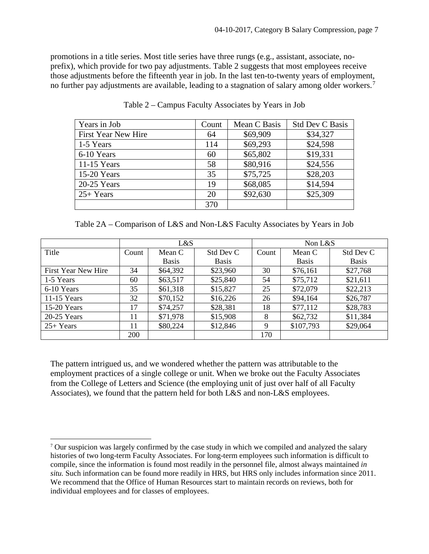promotions in a title series. Most title series have three rungs (e.g., assistant, associate, noprefix), which provide for two pay adjustments. Table 2 suggests that most employees receive those adjustments before the fifteenth year in job. In the last ten-to-twenty years of employment, no further pay adjustments are available, leading to a stagnation of salary among older workers.<sup>[7](#page-6-0)</sup>

| Years in Job        | Count | Mean C Basis | <b>Std Dev C Basis</b> |
|---------------------|-------|--------------|------------------------|
| First Year New Hire | 64    | \$69,909     | \$34,327               |
| 1-5 Years           | 114   | \$69,293     | \$24,598               |
| 6-10 Years          | 60    | \$65,802     | \$19,331               |
| $11-15$ Years       | 58    | \$80,916     | \$24,556               |
| 15-20 Years         | 35    | \$75,725     | \$28,203               |
| 20-25 Years         | 19    | \$68,085     | \$14,594               |
| $25+Years$          | 20    | \$92,630     | \$25,309               |
|                     | 370   |              |                        |

Table 2 – Campus Faculty Associates by Years in Job

Table 2A – Comparison of L&S and Non-L&S Faculty Associates by Years in Job

|                     | L&S   |              |              | Non $L&S$ |              |              |
|---------------------|-------|--------------|--------------|-----------|--------------|--------------|
| Title               | Count | Mean C       | Std Dev C    | Count     | Mean C       | Std Dev C    |
|                     |       | <b>Basis</b> | <b>Basis</b> |           | <b>Basis</b> | <b>Basis</b> |
| First Year New Hire | 34    | \$64,392     | \$23,960     | 30        | \$76,161     | \$27,768     |
| 1-5 Years           | 60    | \$63,517     | \$25,840     | 54        | \$75,712     | \$21,611     |
| 6-10 Years          | 35    | \$61,318     | \$15,827     | 25        | \$72,079     | \$22,213     |
| 11-15 Years         | 32    | \$70,152     | \$16,226     | 26        | \$94,164     | \$26,787     |
| 15-20 Years         | 17    | \$74,257     | \$28,381     | 18        | \$77,112     | \$28,783     |
| 20-25 Years         | 11    | \$71,978     | \$15,908     | 8         | \$62,732     | \$11,384     |
| $25+Years$          | 11    | \$80,224     | \$12,846     | 9         | \$107,793    | \$29,064     |
|                     | 200   |              |              | 170       |              |              |

The pattern intrigued us, and we wondered whether the pattern was attributable to the employment practices of a single college or unit. When we broke out the Faculty Associates from the College of Letters and Science (the employing unit of just over half of all Faculty Associates), we found that the pattern held for both L&S and non-L&S employees.

<span id="page-6-0"></span> <sup>7</sup> Our suspicion was largely confirmed by the case study in which we compiled and analyzed the salary histories of two long-term Faculty Associates. For long-term employees such information is difficult to compile, since the information is found most readily in the personnel file, almost always maintained *in situ.* Such information can be found more readily in HRS, but HRS only includes information since 2011. We recommend that the Office of Human Resources start to maintain records on reviews, both for individual employees and for classes of employees.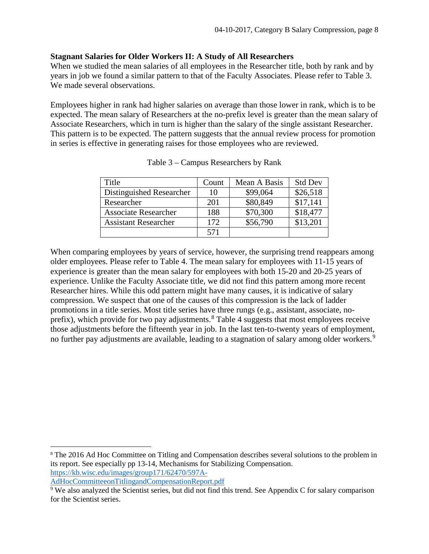#### <span id="page-7-0"></span>**Stagnant Salaries for Older Workers II: A Study of All Researchers**

When we studied the mean salaries of all employees in the Researcher title, both by rank and by years in job we found a similar pattern to that of the Faculty Associates. Please refer to Table 3. We made several observations.

Employees higher in rank had higher salaries on average than those lower in rank, which is to be expected. The mean salary of Researchers at the no-prefix level is greater than the mean salary of Associate Researchers, which in turn is higher than the salary of the single assistant Researcher. This pattern is to be expected. The pattern suggests that the annual review process for promotion in series is effective in generating raises for those employees who are reviewed.

| Title                       | Count | Mean A Basis | <b>Std Dev</b> |
|-----------------------------|-------|--------------|----------------|
| Distinguished Researcher    | 10    | \$99,064     | \$26,518       |
| Researcher                  | 201   | \$80,849     | \$17,141       |
| <b>Associate Researcher</b> | 188   | \$70,300     | \$18,477       |
| <b>Assistant Researcher</b> | 172   | \$56,790     | \$13,201       |
|                             | 571   |              |                |

| Table 3 – Campus Researchers by Rank |  |  |  |  |  |
|--------------------------------------|--|--|--|--|--|
|--------------------------------------|--|--|--|--|--|

When comparing employees by years of service, however, the surprising trend reappears among older employees. Please refer to Table 4. The mean salary for employees with 11-15 years of experience is greater than the mean salary for employees with both 15-20 and 20-25 years of experience. Unlike the Faculty Associate title, we did not find this pattern among more recent Researcher hires. While this odd pattern might have many causes, it is indicative of salary compression. We suspect that one of the causes of this compression is the lack of ladder promotions in a title series. Most title series have three rungs (e.g., assistant, associate, no-prefix), which provide for two pay adjustments.<sup>[8](#page-7-1)</sup> Table 4 suggests that most employees receive those adjustments before the fifteenth year in job. In the last ten-to-twenty years of employment, no further pay adjustments are available, leading to a stagnation of salary among older workers.<sup>[9](#page-7-2)</sup>

<span id="page-7-1"></span> 8 The 2016 Ad Hoc Committee on Titling and Compensation describes several solutions to the problem in its report. See especially pp 13-14, Mechanisms for Stabilizing Compensation. [https://kb.wisc.edu/images/group171/62470/597A-](https://kb.wisc.edu/images/group171/62470/597A-AdHocCommitteeonTitlingandCompensationReport.pdf)

[AdHocCommitteeonTitlingandCompensationReport.pdf](https://kb.wisc.edu/images/group171/62470/597A-AdHocCommitteeonTitlingandCompensationReport.pdf)

<span id="page-7-2"></span><sup>&</sup>lt;sup>9</sup> We also analyzed the Scientist series, but did not find this trend. See Appendix C for salary comparison for the Scientist series.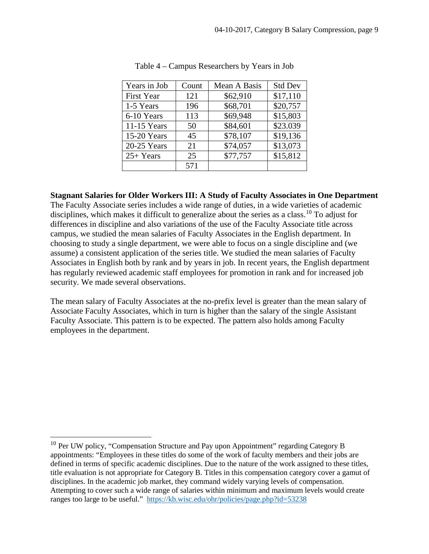| Years in Job      | Count | Mean A Basis | <b>Std Dev</b> |
|-------------------|-------|--------------|----------------|
| <b>First Year</b> | 121   | \$62,910     | \$17,110       |
| 1-5 Years         | 196   | \$68,701     | \$20,757       |
| 6-10 Years        | 113   | \$69,948     | \$15,803       |
| $11-15$ Years     | 50    | \$84,601     | \$23.039       |
| 15-20 Years       | 45    | \$78,107     | \$19,136       |
| 20-25 Years       | 21    | \$74,057     | \$13,073       |
| $25+Years$        | 25    | \$77,757     | \$15,812       |
|                   | 571   |              |                |

**Stagnant Salaries for Older Workers III: A Study of Faculty Associates in One Department** The Faculty Associate series includes a wide range of duties, in a wide varieties of academic disciplines, which makes it difficult to generalize about the series as a class.<sup>[10](#page-8-0)</sup> To adjust for differences in discipline and also variations of the use of the Faculty Associate title across campus, we studied the mean salaries of Faculty Associates in the English department. In choosing to study a single department, we were able to focus on a single discipline and (we assume) a consistent application of the series title. We studied the mean salaries of Faculty Associates in English both by rank and by years in job. In recent years, the English department has regularly reviewed academic staff employees for promotion in rank and for increased job security. We made several observations.

The mean salary of Faculty Associates at the no-prefix level is greater than the mean salary of Associate Faculty Associates, which in turn is higher than the salary of the single Assistant Faculty Associate. This pattern is to be expected. The pattern also holds among Faculty employees in the department.

<span id="page-8-0"></span> $10$  Per UW policy, "Compensation Structure and Pay upon Appointment" regarding Category B appointments: "Employees in these titles do some of the work of faculty members and their jobs are defined in terms of specific academic disciplines. Due to the nature of the work assigned to these titles, title evaluation is not appropriate for Category B. Titles in this compensation category cover a gamut of disciplines. In the academic job market, they command widely varying levels of compensation. Attempting to cover such a wide range of salaries within minimum and maximum levels would create ranges too large to be useful." <https://kb.wisc.edu/ohr/policies/page.php?id=53238>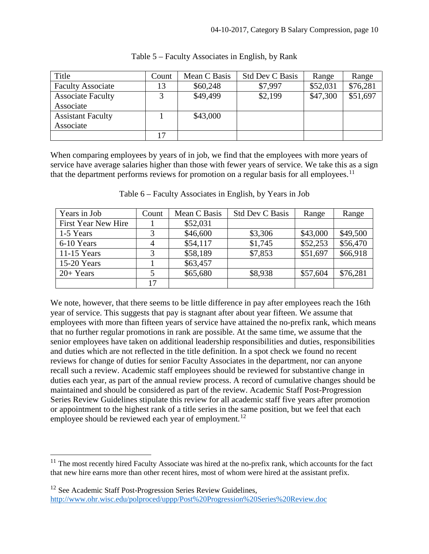| Title                    | Count | Mean C Basis | <b>Std Dev C Basis</b> | Range    | Range    |
|--------------------------|-------|--------------|------------------------|----------|----------|
| <b>Faculty Associate</b> | 13    | \$60,248     | \$7,997                | \$52,031 | \$76,281 |
| <b>Associate Faculty</b> |       | \$49,499     | \$2,199                | \$47,300 | \$51,697 |
| Associate                |       |              |                        |          |          |
| <b>Assistant Faculty</b> |       | \$43,000     |                        |          |          |
| Associate                |       |              |                        |          |          |
|                          | דיו   |              |                        |          |          |

Table 5 – Faculty Associates in English, by Rank

When comparing employees by years of in job, we find that the employees with more years of service have average salaries higher than those with fewer years of service. We take this as a sign that the department performs reviews for promotion on a regular basis for all employees.<sup>[11](#page-9-0)</sup>

| Years in Job        | Count | Mean C Basis | <b>Std Dev C Basis</b> | Range    | Range    |
|---------------------|-------|--------------|------------------------|----------|----------|
| First Year New Hire |       | \$52,031     |                        |          |          |
| 1-5 Years           | 3     | \$46,600     | \$3,306                | \$43,000 | \$49,500 |
| 6-10 Years          | 4     | \$54,117     | \$1,745                | \$52,253 | \$56,470 |
| 11-15 Years         | 3     | \$58,189     | \$7,853                | \$51,697 | \$66,918 |
| $15-20$ Years       |       | \$63,457     |                        |          |          |
| $20+Years$          |       | \$65,680     | \$8,938                | \$57,604 | \$76,281 |
|                     | 17    |              |                        |          |          |

Table 6 – Faculty Associates in English, by Years in Job

We note, however, that there seems to be little difference in pay after employees reach the 16th year of service. This suggests that pay is stagnant after about year fifteen. We assume that employees with more than fifteen years of service have attained the no-prefix rank, which means that no further regular promotions in rank are possible. At the same time, we assume that the senior employees have taken on additional leadership responsibilities and duties, responsibilities and duties which are not reflected in the title definition. In a spot check we found no recent reviews for change of duties for senior Faculty Associates in the department, nor can anyone recall such a review. Academic staff employees should be reviewed for substantive change in duties each year, as part of the annual review process. A record of cumulative changes should be maintained and should be considered as part of the review. Academic Staff Post-Progression Series Review Guidelines stipulate this review for all academic staff five years after promotion or appointment to the highest rank of a title series in the same position, but we feel that each employee should be reviewed each year of employment.<sup>[12](#page-9-1)</sup>

<span id="page-9-0"></span><sup>&</sup>lt;sup>11</sup> The most recently hired Faculty Associate was hired at the no-prefix rank, which accounts for the fact that new hire earns more than other recent hires, most of whom were hired at the assistant prefix.

<span id="page-9-1"></span><sup>&</sup>lt;sup>12</sup> See Academic Staff Post-Progression Series Review Guidelines, <http://www.ohr.wisc.edu/polproced/uppp/Post%20Progression%20Series%20Review.doc>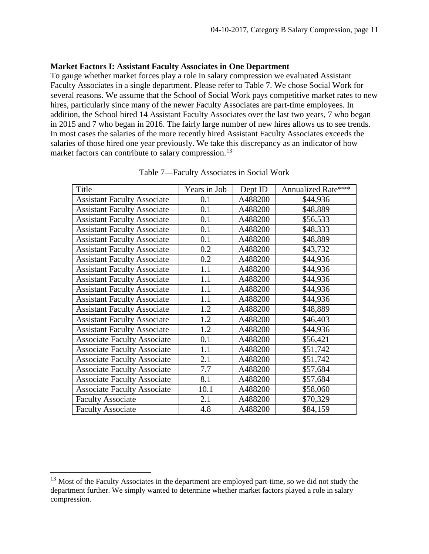#### <span id="page-10-0"></span>**Market Factors I: Assistant Faculty Associates in One Department**

To gauge whether market forces play a role in salary compression we evaluated Assistant Faculty Associates in a single department. Please refer to Table 7. We chose Social Work for several reasons. We assume that the School of Social Work pays competitive market rates to new hires, particularly since many of the newer Faculty Associates are part-time employees. In addition, the School hired 14 Assistant Faculty Associates over the last two years, 7 who began in 2015 and 7 who began in 2016. The fairly large number of new hires allows us to see trends. In most cases the salaries of the more recently hired Assistant Faculty Associates exceeds the salaries of those hired one year previously. We take this discrepancy as an indicator of how market factors can contribute to salary compression.<sup>[13](#page-10-1)</sup>

| Title                              | Years in Job | Dept ID | Annualized Rate*** |
|------------------------------------|--------------|---------|--------------------|
| <b>Assistant Faculty Associate</b> | 0.1          | A488200 | \$44,936           |
| <b>Assistant Faculty Associate</b> | 0.1          | A488200 | \$48,889           |
| <b>Assistant Faculty Associate</b> | 0.1          | A488200 | \$56,533           |
| <b>Assistant Faculty Associate</b> | 0.1          | A488200 | \$48,333           |
| <b>Assistant Faculty Associate</b> | 0.1          | A488200 | \$48,889           |
| <b>Assistant Faculty Associate</b> | 0.2          | A488200 | \$43,732           |
| <b>Assistant Faculty Associate</b> | 0.2          | A488200 | \$44,936           |
| <b>Assistant Faculty Associate</b> | 1.1          | A488200 | \$44,936           |
| <b>Assistant Faculty Associate</b> | 1.1          | A488200 | \$44,936           |
| <b>Assistant Faculty Associate</b> | 1.1          | A488200 | \$44,936           |
| <b>Assistant Faculty Associate</b> | 1.1          | A488200 | \$44,936           |
| <b>Assistant Faculty Associate</b> | 1.2          | A488200 | \$48,889           |
| <b>Assistant Faculty Associate</b> | 1.2          | A488200 | \$46,403           |
| <b>Assistant Faculty Associate</b> | 1.2          | A488200 | \$44,936           |
| <b>Associate Faculty Associate</b> | 0.1          | A488200 | \$56,421           |
| <b>Associate Faculty Associate</b> | 1.1          | A488200 | \$51,742           |
| <b>Associate Faculty Associate</b> | 2.1          | A488200 | \$51,742           |
| <b>Associate Faculty Associate</b> | 7.7          | A488200 | \$57,684           |
| <b>Associate Faculty Associate</b> | 8.1          | A488200 | \$57,684           |
| <b>Associate Faculty Associate</b> | 10.1         | A488200 | \$58,060           |
| <b>Faculty Associate</b>           | 2.1          | A488200 | \$70,329           |
| <b>Faculty Associate</b>           | 4.8          | A488200 | \$84,159           |

Table 7—Faculty Associates in Social Work

<span id="page-10-1"></span><sup>&</sup>lt;sup>13</sup> Most of the Faculty Associates in the department are employed part-time, so we did not study the department further. We simply wanted to determine whether market factors played a role in salary compression.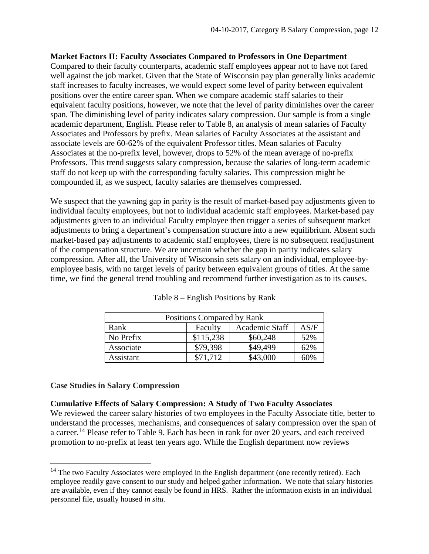#### <span id="page-11-0"></span>**Market Factors II: Faculty Associates Compared to Professors in One Department**

Compared to their faculty counterparts, academic staff employees appear not to have not fared well against the job market. Given that the State of Wisconsin pay plan generally links academic staff increases to faculty increases, we would expect some level of parity between equivalent positions over the entire career span. When we compare academic staff salaries to their equivalent faculty positions, however, we note that the level of parity diminishes over the career span. The diminishing level of parity indicates salary compression. Our sample is from a single academic department, English. Please refer to Table 8, an analysis of mean salaries of Faculty Associates and Professors by prefix. Mean salaries of Faculty Associates at the assistant and associate levels are 60-62% of the equivalent Professor titles. Mean salaries of Faculty Associates at the no-prefix level, however, drops to 52% of the mean average of no-prefix Professors. This trend suggests salary compression, because the salaries of long-term academic staff do not keep up with the corresponding faculty salaries. This compression might be compounded if, as we suspect, faculty salaries are themselves compressed.

We suspect that the yawning gap in parity is the result of market-based pay adjustments given to individual faculty employees, but not to individual academic staff employees. Market-based pay adjustments given to an individual Faculty employee then trigger a series of subsequent market adjustments to bring a department's compensation structure into a new equilibrium. Absent such market-based pay adjustments to academic staff employees, there is no subsequent readjustment of the compensation structure. We are uncertain whether the gap in parity indicates salary compression. After all, the University of Wisconsin sets salary on an individual, employee-byemployee basis, with no target levels of parity between equivalent groups of titles. At the same time, we find the general trend troubling and recommend further investigation as to its causes.

| Positions Compared by Rank |           |                |      |  |  |
|----------------------------|-----------|----------------|------|--|--|
| Rank                       | Faculty   | Academic Staff | AS/F |  |  |
| No Prefix                  | \$115,238 | \$60,248       | 52%  |  |  |
| Associate                  | \$79,398  | \$49,499       | 62%  |  |  |
| Assistant                  | \$71,712  | \$43,000       | 60%  |  |  |

Table 8 – English Positions by Rank

#### <span id="page-11-1"></span>**Case Studies in Salary Compression**

#### <span id="page-11-2"></span>**Cumulative Effects of Salary Compression: A Study of Two Faculty Associates**

We reviewed the career salary histories of two employees in the Faculty Associate title, better to understand the processes, mechanisms, and consequences of salary compression over the span of a career.<sup>[14](#page-11-3)</sup> Please refer to Table 9. Each has been in rank for over 20 years, and each received promotion to no-prefix at least ten years ago. While the English department now reviews

<span id="page-11-3"></span> $14$  The two Faculty Associates were employed in the English department (one recently retired). Each employee readily gave consent to our study and helped gather information. We note that salary histories are available, even if they cannot easily be found in HRS. Rather the information exists in an individual personnel file, usually housed *in situ.*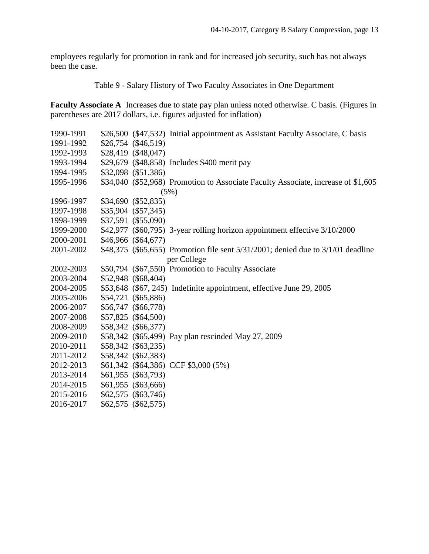employees regularly for promotion in rank and for increased job security, such has not always been the case.

Table 9 - Salary History of Two Faculty Associates in One Department

**Faculty Associate A** Increases due to state pay plan unless noted otherwise. C basis. (Figures in parentheses are 2017 dollars, i.e. figures adjusted for inflation)

|  | \$26,500 (\$47,532) Initial appointment as Assistant Faculty Associate, C basis                                                                                                                                                                                                                                                                                                                                                                                     |
|--|---------------------------------------------------------------------------------------------------------------------------------------------------------------------------------------------------------------------------------------------------------------------------------------------------------------------------------------------------------------------------------------------------------------------------------------------------------------------|
|  |                                                                                                                                                                                                                                                                                                                                                                                                                                                                     |
|  |                                                                                                                                                                                                                                                                                                                                                                                                                                                                     |
|  | \$29,679 (\$48,858) Includes \$400 merit pay                                                                                                                                                                                                                                                                                                                                                                                                                        |
|  |                                                                                                                                                                                                                                                                                                                                                                                                                                                                     |
|  | \$34,040 (\$52,968) Promotion to Associate Faculty Associate, increase of \$1,605                                                                                                                                                                                                                                                                                                                                                                                   |
|  | (5%)                                                                                                                                                                                                                                                                                                                                                                                                                                                                |
|  |                                                                                                                                                                                                                                                                                                                                                                                                                                                                     |
|  |                                                                                                                                                                                                                                                                                                                                                                                                                                                                     |
|  |                                                                                                                                                                                                                                                                                                                                                                                                                                                                     |
|  | \$42,977 (\$60,795) 3-year rolling horizon appointment effective 3/10/2000                                                                                                                                                                                                                                                                                                                                                                                          |
|  |                                                                                                                                                                                                                                                                                                                                                                                                                                                                     |
|  | \$48,375 (\$65,655) Promotion file sent 5/31/2001; denied due to 3/1/01 deadline                                                                                                                                                                                                                                                                                                                                                                                    |
|  | per College                                                                                                                                                                                                                                                                                                                                                                                                                                                         |
|  | \$50,794 (\$67,550) Promotion to Faculty Associate                                                                                                                                                                                                                                                                                                                                                                                                                  |
|  |                                                                                                                                                                                                                                                                                                                                                                                                                                                                     |
|  | \$53,648 (\$67, 245) Indefinite appointment, effective June 29, 2005                                                                                                                                                                                                                                                                                                                                                                                                |
|  |                                                                                                                                                                                                                                                                                                                                                                                                                                                                     |
|  |                                                                                                                                                                                                                                                                                                                                                                                                                                                                     |
|  |                                                                                                                                                                                                                                                                                                                                                                                                                                                                     |
|  |                                                                                                                                                                                                                                                                                                                                                                                                                                                                     |
|  | \$58,342 (\$65,499) Pay plan rescinded May 27, 2009                                                                                                                                                                                                                                                                                                                                                                                                                 |
|  |                                                                                                                                                                                                                                                                                                                                                                                                                                                                     |
|  |                                                                                                                                                                                                                                                                                                                                                                                                                                                                     |
|  |                                                                                                                                                                                                                                                                                                                                                                                                                                                                     |
|  |                                                                                                                                                                                                                                                                                                                                                                                                                                                                     |
|  |                                                                                                                                                                                                                                                                                                                                                                                                                                                                     |
|  |                                                                                                                                                                                                                                                                                                                                                                                                                                                                     |
|  |                                                                                                                                                                                                                                                                                                                                                                                                                                                                     |
|  | $$26,754$ (\$46,519)<br>\$28,419 (\$48,047)<br>\$32,098 (\$51,386)<br>\$34,690 (\$52,835)<br>\$35,904 (\$57,345)<br>\$37,591 (\$55,090)<br>\$46,966 (\$64,677)<br>\$52,948 (\$68,404)<br>\$54,721 (\$65,886)<br>\$56,747 (\$66,778)<br>\$57,825 (\$64,500)<br>\$58,342 (\$66,377)<br>\$58,342 (\$63,235)<br>\$58,342 (\$62,383)<br>\$61,342 (\$64,386) CCF \$3,000 (5%)<br>\$61,955 (\$63,793)<br>\$61,955 (\$63,666)<br>\$62,575 (\$63,746)<br>\$62,575 (\$62,575) |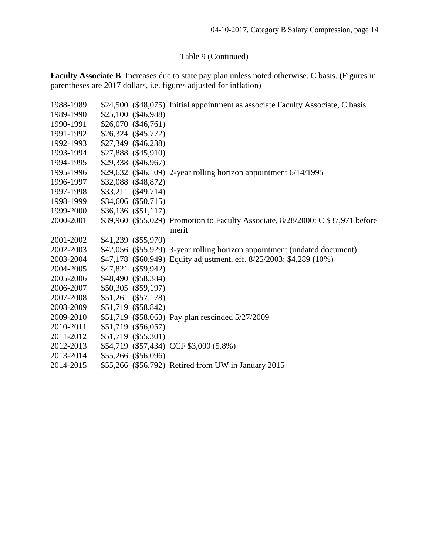## Table 9 (Continued)

**Faculty Associate B** Increases due to state pay plan unless noted otherwise. C basis. (Figures in parentheses are 2017 dollars, i.e. figures adjusted for inflation)

|  | \$24,500 (\$48,075) Initial appointment as associate Faculty Associate, C basis                                                                                                                                                                                                                                                                                                                                                                        |
|--|--------------------------------------------------------------------------------------------------------------------------------------------------------------------------------------------------------------------------------------------------------------------------------------------------------------------------------------------------------------------------------------------------------------------------------------------------------|
|  |                                                                                                                                                                                                                                                                                                                                                                                                                                                        |
|  |                                                                                                                                                                                                                                                                                                                                                                                                                                                        |
|  |                                                                                                                                                                                                                                                                                                                                                                                                                                                        |
|  |                                                                                                                                                                                                                                                                                                                                                                                                                                                        |
|  |                                                                                                                                                                                                                                                                                                                                                                                                                                                        |
|  |                                                                                                                                                                                                                                                                                                                                                                                                                                                        |
|  | \$29,632 (\$46,109) 2-year rolling horizon appointment 6/14/1995                                                                                                                                                                                                                                                                                                                                                                                       |
|  |                                                                                                                                                                                                                                                                                                                                                                                                                                                        |
|  |                                                                                                                                                                                                                                                                                                                                                                                                                                                        |
|  |                                                                                                                                                                                                                                                                                                                                                                                                                                                        |
|  |                                                                                                                                                                                                                                                                                                                                                                                                                                                        |
|  | \$39,960 (\$55,029) Promotion to Faculty Associate, 8/28/2000: C \$37,971 before                                                                                                                                                                                                                                                                                                                                                                       |
|  | merit                                                                                                                                                                                                                                                                                                                                                                                                                                                  |
|  |                                                                                                                                                                                                                                                                                                                                                                                                                                                        |
|  | \$42,056 (\$55,929) 3-year rolling horizon appointment (undated document)                                                                                                                                                                                                                                                                                                                                                                              |
|  | \$47,178 (\$60,949) Equity adjustment, eff. 8/25/2003: \$4,289 (10%)                                                                                                                                                                                                                                                                                                                                                                                   |
|  |                                                                                                                                                                                                                                                                                                                                                                                                                                                        |
|  |                                                                                                                                                                                                                                                                                                                                                                                                                                                        |
|  |                                                                                                                                                                                                                                                                                                                                                                                                                                                        |
|  |                                                                                                                                                                                                                                                                                                                                                                                                                                                        |
|  |                                                                                                                                                                                                                                                                                                                                                                                                                                                        |
|  | \$51,719 (\$58,063) Pay plan rescinded 5/27/2009                                                                                                                                                                                                                                                                                                                                                                                                       |
|  |                                                                                                                                                                                                                                                                                                                                                                                                                                                        |
|  |                                                                                                                                                                                                                                                                                                                                                                                                                                                        |
|  | \$54,719 (\$57,434) CCF \$3,000 (5.8%)                                                                                                                                                                                                                                                                                                                                                                                                                 |
|  |                                                                                                                                                                                                                                                                                                                                                                                                                                                        |
|  | \$55,266 (\$56,792) Retired from UW in January 2015                                                                                                                                                                                                                                                                                                                                                                                                    |
|  | $$25,100$ $($46,988)$<br>$$26,070$ $($46,761)$<br>\$26,324 (\$45,772)<br>\$27,349 (\$46,238)<br>\$27,888 (\$45,910)<br>\$29,338 (\$46,967)<br>\$32,088 (\$48,872)<br>$$33,211$ $$49,714$<br>\$34,606 (\$50,715)<br>$$36,136$ (\$51,117)<br>\$41,239 (\$55,970)<br>\$47,821 (\$59,942)<br>\$48,490 (\$58,384)<br>\$50,305 (\$59,197)<br>\$51,261 (\$57,178)<br>\$51,719 (\$58,842)<br>\$51,719 (\$56,057)<br>\$51,719 (\$55,301)<br>\$55,266 (\$56,096) |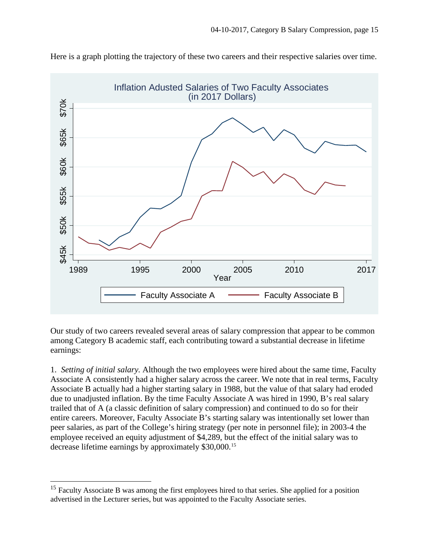

Here is a graph plotting the trajectory of these two careers and their respective salaries over time.

Our study of two careers revealed several areas of salary compression that appear to be common among Category B academic staff, each contributing toward a substantial decrease in lifetime earnings:

1. *Setting of initial salary.* Although the two employees were hired about the same time, Faculty Associate A consistently had a higher salary across the career. We note that in real terms, Faculty Associate B actually had a higher starting salary in 1988, but the value of that salary had eroded due to unadjusted inflation. By the time Faculty Associate A was hired in 1990, B's real salary trailed that of A (a classic definition of salary compression) and continued to do so for their entire careers. Moreover, Faculty Associate B's starting salary was intentionally set lower than peer salaries, as part of the College's hiring strategy (per note in personnel file); in 2003-4 the employee received an equity adjustment of \$4,289, but the effect of the initial salary was to decrease lifetime earnings by approximately \$30,000.[15](#page-14-0)

<span id="page-14-0"></span><sup>&</sup>lt;sup>15</sup> Faculty Associate B was among the first employees hired to that series. She applied for a position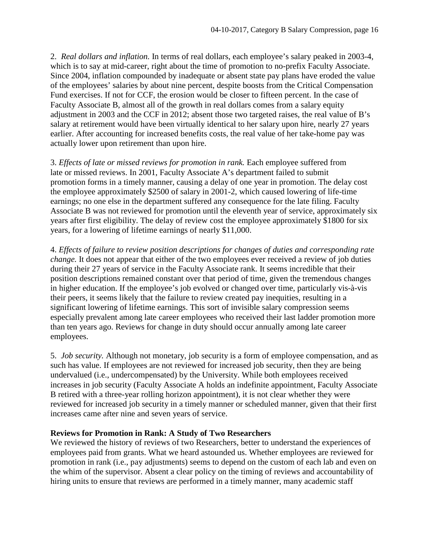2. *Real dollars and inflation.* In terms of real dollars, each employee's salary peaked in 2003-4, which is to say at mid-career, right about the time of promotion to no-prefix Faculty Associate. Since 2004, inflation compounded by inadequate or absent state pay plans have eroded the value of the employees' salaries by about nine percent, despite boosts from the Critical Compensation Fund exercises. If not for CCF, the erosion would be closer to fifteen percent. In the case of Faculty Associate B, almost all of the growth in real dollars comes from a salary equity adjustment in 2003 and the CCF in 2012; absent those two targeted raises, the real value of B's salary at retirement would have been virtually identical to her salary upon hire, nearly 27 years earlier. After accounting for increased benefits costs, the real value of her take-home pay was actually lower upon retirement than upon hire.

3. *Effects of late or missed reviews for promotion in rank.* Each employee suffered from late or missed reviews. In 2001, Faculty Associate A's department failed to submit promotion forms in a timely manner, causing a delay of one year in promotion. The delay cost the employee approximately \$2500 of salary in 2001-2, which caused lowering of life-time earnings; no one else in the department suffered any consequence for the late filing. Faculty Associate B was not reviewed for promotion until the eleventh year of service, approximately six years after first eligibility. The delay of review cost the employee approximately \$1800 for six years, for a lowering of lifetime earnings of nearly \$11,000.

4. *Effects of failure to review position descriptions for changes of duties and corresponding rate change.* It does not appear that either of the two employees ever received a review of job duties during their 27 years of service in the Faculty Associate rank. It seems incredible that their position descriptions remained constant over that period of time, given the tremendous changes in higher education. If the employee's job evolved or changed over time, particularly vis-à-vis their peers, it seems likely that the failure to review created pay inequities, resulting in a significant lowering of lifetime earnings. This sort of invisible salary compression seems especially prevalent among late career employees who received their last ladder promotion more than ten years ago. Reviews for change in duty should occur annually among late career employees.

5. *Job security.* Although not monetary, job security is a form of employee compensation, and as such has value. If employees are not reviewed for increased job security, then they are being undervalued (i.e., undercompensated) by the University. While both employees received increases in job security (Faculty Associate A holds an indefinite appointment, Faculty Associate B retired with a three-year rolling horizon appointment), it is not clear whether they were reviewed for increased job security in a timely manner or scheduled manner, given that their first increases came after nine and seven years of service.

#### <span id="page-15-0"></span>**Reviews for Promotion in Rank: A Study of Two Researchers**

We reviewed the history of reviews of two Researchers, better to understand the experiences of employees paid from grants. What we heard astounded us. Whether employees are reviewed for promotion in rank (i.e., pay adjustments) seems to depend on the custom of each lab and even on the whim of the supervisor. Absent a clear policy on the timing of reviews and accountability of hiring units to ensure that reviews are performed in a timely manner, many academic staff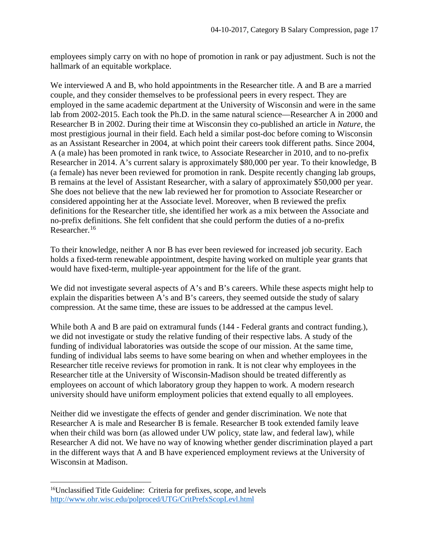employees simply carry on with no hope of promotion in rank or pay adjustment. Such is not the hallmark of an equitable workplace.

We interviewed A and B, who hold appointments in the Researcher title. A and B are a married couple, and they consider themselves to be professional peers in every respect. They are employed in the same academic department at the University of Wisconsin and were in the same lab from 2002-2015. Each took the Ph.D. in the same natural science—Researcher A in 2000 and Researcher B in 2002. During their time at Wisconsin they co-published an article in *Nature,* the most prestigious journal in their field. Each held a similar post-doc before coming to Wisconsin as an Assistant Researcher in 2004, at which point their careers took different paths. Since 2004, A (a male) has been promoted in rank twice, to Associate Researcher in 2010, and to no-prefix Researcher in 2014. A's current salary is approximately \$80,000 per year. To their knowledge, B (a female) has never been reviewed for promotion in rank. Despite recently changing lab groups, B remains at the level of Assistant Researcher, with a salary of approximately \$50,000 per year. She does not believe that the new lab reviewed her for promotion to Associate Researcher or considered appointing her at the Associate level. Moreover, when B reviewed the prefix definitions for the Researcher title, she identified her work as a mix between the Associate and no-prefix definitions. She felt confident that she could perform the duties of a no-prefix Researcher.<sup>[16](#page-16-0)</sup>

To their knowledge, neither A nor B has ever been reviewed for increased job security. Each holds a fixed-term renewable appointment, despite having worked on multiple year grants that would have fixed-term, multiple-year appointment for the life of the grant.

We did not investigate several aspects of A's and B's careers. While these aspects might help to explain the disparities between A's and B's careers, they seemed outside the study of salary compression. At the same time, these are issues to be addressed at the campus level.

While both A and B are paid on extramural funds (144 - Federal grants and contract funding.), we did not investigate or study the relative funding of their respective labs. A study of the funding of individual laboratories was outside the scope of our mission. At the same time, funding of individual labs seems to have some bearing on when and whether employees in the Researcher title receive reviews for promotion in rank. It is not clear why employees in the Researcher title at the University of Wisconsin-Madison should be treated differently as employees on account of which laboratory group they happen to work. A modern research university should have uniform employment policies that extend equally to all employees.

Neither did we investigate the effects of gender and gender discrimination. We note that Researcher A is male and Researcher B is female. Researcher B took extended family leave when their child was born (as allowed under UW policy, state law, and federal law), while Researcher A did not. We have no way of knowing whether gender discrimination played a part in the different ways that A and B have experienced employment reviews at the University of Wisconsin at Madison.

<span id="page-16-0"></span><sup>&</sup>lt;sup>16</sup>Unclassified Title Guideline: Criteria for prefixes, scope, and levels <http://www.ohr.wisc.edu/polproced/UTG/CritPrefxScopLevl.html>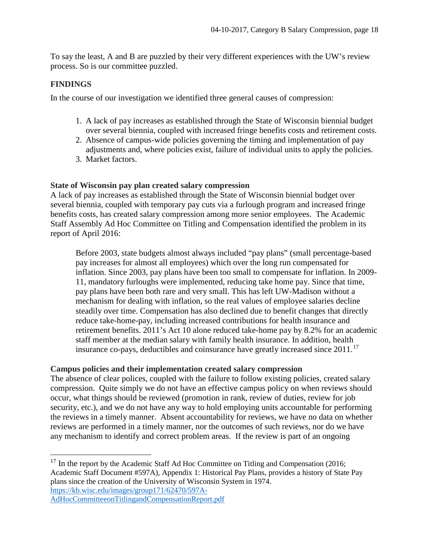To say the least, A and B are puzzled by their very different experiences with the UW's review process. So is our committee puzzled.

#### <span id="page-17-0"></span>**FINDINGS**

In the course of our investigation we identified three general causes of compression:

- 1. A lack of pay increases as established through the State of Wisconsin biennial budget over several biennia, coupled with increased fringe benefits costs and retirement costs.
- 2. Absence of campus-wide policies governing the timing and implementation of pay adjustments and, where policies exist, failure of individual units to apply the policies.
- 3. Market factors.

#### <span id="page-17-1"></span>**State of Wisconsin pay plan created salary compression**

A lack of pay increases as established through the State of Wisconsin biennial budget over several biennia, coupled with temporary pay cuts via a furlough program and increased fringe benefits costs, has created salary compression among more senior employees. The Academic Staff Assembly Ad Hoc Committee on Titling and Compensation identified the problem in its report of April 2016:

Before 2003, state budgets almost always included "pay plans" (small percentage-based pay increases for almost all employees) which over the long run compensated for inflation. Since 2003, pay plans have been too small to compensate for inflation. In 2009- 11, mandatory furloughs were implemented, reducing take home pay. Since that time, pay plans have been both rare and very small. This has left UW-Madison without a mechanism for dealing with inflation, so the real values of employee salaries decline steadily over time. Compensation has also declined due to benefit changes that directly reduce take-home-pay, including increased contributions for health insurance and retirement benefits. 2011's Act 10 alone reduced take-home pay by 8.2% for an academic staff member at the median salary with family health insurance. In addition, health insurance co-pays, deductibles and coinsurance have greatly increased since  $2011$ .<sup>[17](#page-17-3)</sup>

#### <span id="page-17-2"></span>**Campus policies and their implementation created salary compression**

The absence of clear polices, coupled with the failure to follow existing policies, created salary compression. Quite simply we do not have an effective campus policy on when reviews should occur, what things should be reviewed (promotion in rank, review of duties, review for job security, etc.), and we do not have any way to hold employing units accountable for performing the reviews in a timely manner. Absent accountability for reviews, we have no data on whether reviews are performed in a timely manner, nor the outcomes of such reviews, nor do we have any mechanism to identify and correct problem areas. If the review is part of an ongoing

<span id="page-17-3"></span><sup>17</sup> In the report by the Academic Staff Ad Hoc Committee on Titling and Compensation (2016; Academic Staff Document #597A), Appendix 1: Historical Pay Plans, provides a history of State Pay plans since the creation of the University of Wisconsin System in 1974. [https://kb.wisc.edu/images/group171/62470/597A-](https://kb.wisc.edu/images/group171/62470/597A-AdHocCommitteeonTitlingandCompensationReport.pdf)[AdHocCommitteeonTitlingandCompensationReport.pdf](https://kb.wisc.edu/images/group171/62470/597A-AdHocCommitteeonTitlingandCompensationReport.pdf)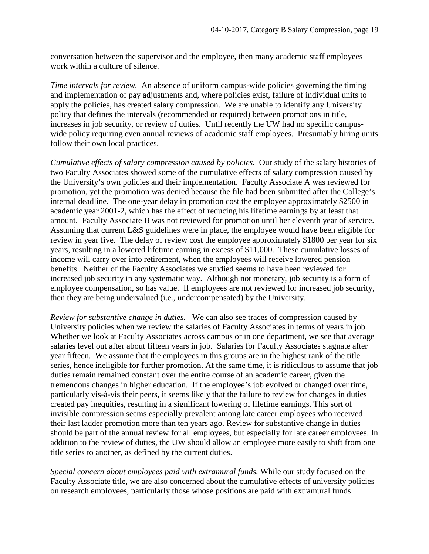conversation between the supervisor and the employee, then many academic staff employees work within a culture of silence.

*Time intervals for review.* An absence of uniform campus-wide policies governing the timing and implementation of pay adjustments and, where policies exist, failure of individual units to apply the policies, has created salary compression. We are unable to identify any University policy that defines the intervals (recommended or required) between promotions in title, increases in job security, or review of duties. Until recently the UW had no specific campuswide policy requiring even annual reviews of academic staff employees. Presumably hiring units follow their own local practices.

*Cumulative effects of salary compression caused by policies.* Our study of the salary histories of two Faculty Associates showed some of the cumulative effects of salary compression caused by the University's own policies and their implementation. Faculty Associate A was reviewed for promotion, yet the promotion was denied because the file had been submitted after the College's internal deadline. The one-year delay in promotion cost the employee approximately \$2500 in academic year 2001-2, which has the effect of reducing his lifetime earnings by at least that amount. Faculty Associate B was not reviewed for promotion until her eleventh year of service. Assuming that current L&S guidelines were in place, the employee would have been eligible for review in year five. The delay of review cost the employee approximately \$1800 per year for six years, resulting in a lowered lifetime earning in excess of \$11,000. These cumulative losses of income will carry over into retirement, when the employees will receive lowered pension benefits. Neither of the Faculty Associates we studied seems to have been reviewed for increased job security in any systematic way. Although not monetary, job security is a form of employee compensation, so has value. If employees are not reviewed for increased job security, then they are being undervalued (i.e., undercompensated) by the University.

*Review for substantive change in duties.* We can also see traces of compression caused by University policies when we review the salaries of Faculty Associates in terms of years in job. Whether we look at Faculty Associates across campus or in one department, we see that average salaries level out after about fifteen years in job. Salaries for Faculty Associates stagnate after year fifteen. We assume that the employees in this groups are in the highest rank of the title series, hence ineligible for further promotion. At the same time, it is ridiculous to assume that job duties remain remained constant over the entire course of an academic career, given the tremendous changes in higher education. If the employee's job evolved or changed over time, particularly vis-à-vis their peers, it seems likely that the failure to review for changes in duties created pay inequities, resulting in a significant lowering of lifetime earnings. This sort of invisible compression seems especially prevalent among late career employees who received their last ladder promotion more than ten years ago. Review for substantive change in duties should be part of the annual review for all employees, but especially for late career employees. In addition to the review of duties, the UW should allow an employee more easily to shift from one title series to another, as defined by the current duties.

*Special concern about employees paid with extramural funds.* While our study focused on the Faculty Associate title, we are also concerned about the cumulative effects of university policies on research employees, particularly those whose positions are paid with extramural funds.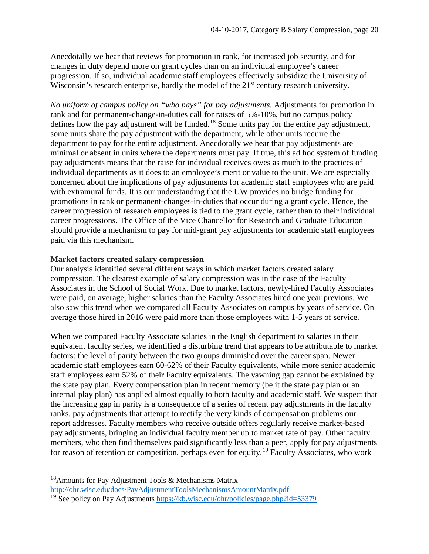Anecdotally we hear that reviews for promotion in rank, for increased job security, and for changes in duty depend more on grant cycles than on an individual employee's career progression. If so, individual academic staff employees effectively subsidize the University of Wisconsin's research enterprise, hardly the model of the 21<sup>st</sup> century research university.

*No uniform of campus policy on "who pays" for pay adjustments.* Adjustments for promotion in rank and for permanent-change-in-duties call for raises of 5%-10%, but no campus policy defines how the pay adjustment will be funded.<sup>[18](#page-19-1)</sup> Some units pay for the entire pay adjustment, some units share the pay adjustment with the department, while other units require the department to pay for the entire adjustment. Anecdotally we hear that pay adjustments are minimal or absent in units where the departments must pay. If true, this ad hoc system of funding pay adjustments means that the raise for individual receives owes as much to the practices of individual departments as it does to an employee's merit or value to the unit. We are especially concerned about the implications of pay adjustments for academic staff employees who are paid with extramural funds. It is our understanding that the UW provides no bridge funding for promotions in rank or permanent-changes-in-duties that occur during a grant cycle. Hence, the career progression of research employees is tied to the grant cycle, rather than to their individual career progressions. The Office of the Vice Chancellor for Research and Graduate Education should provide a mechanism to pay for mid-grant pay adjustments for academic staff employees paid via this mechanism.

#### <span id="page-19-0"></span>**Market factors created salary compression**

Our analysis identified several different ways in which market factors created salary compression. The clearest example of salary compression was in the case of the Faculty Associates in the School of Social Work. Due to market factors, newly-hired Faculty Associates were paid, on average, higher salaries than the Faculty Associates hired one year previous. We also saw this trend when we compared all Faculty Associates on campus by years of service. On average those hired in 2016 were paid more than those employees with 1-5 years of service.

When we compared Faculty Associate salaries in the English department to salaries in their equivalent faculty series, we identified a disturbing trend that appears to be attributable to market factors: the level of parity between the two groups diminished over the career span. Newer academic staff employees earn 60-62% of their Faculty equivalents, while more senior academic staff employees earn 52% of their Faculty equivalents. The yawning gap cannot be explained by the state pay plan. Every compensation plan in recent memory (be it the state pay plan or an internal play plan) has applied almost equally to both faculty and academic staff. We suspect that the increasing gap in parity is a consequence of a series of recent pay adjustments in the faculty ranks, pay adjustments that attempt to rectify the very kinds of compensation problems our report addresses. Faculty members who receive outside offers regularly receive market-based pay adjustments, bringing an individual faculty member up to market rate of pay. Other faculty members, who then find themselves paid significantly less than a peer, apply for pay adjustments for reason of retention or competition, perhaps even for equity.[19](#page-19-2) Faculty Associates, who work

<span id="page-19-1"></span><sup>&</sup>lt;sup>18</sup>Amounts for Pay Adjustment Tools & Mechanisms Matrix <http://ohr.wisc.edu/docs/PayAdjustmentToolsMechanismsAmountMatrix.pdf>

<span id="page-19-2"></span><sup>19</sup> See policy on Pay Adjustments<https://kb.wisc.edu/ohr/policies/page.php?id=53379>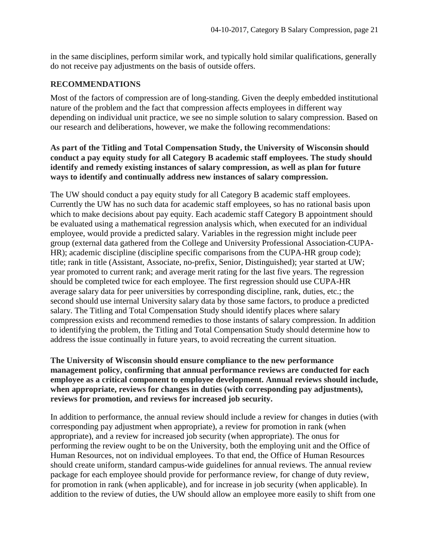in the same disciplines, perform similar work, and typically hold similar qualifications, generally do not receive pay adjustments on the basis of outside offers.

#### <span id="page-20-0"></span>**RECOMMENDATIONS**

Most of the factors of compression are of long-standing. Given the deeply embedded institutional nature of the problem and the fact that compression affects employees in different way depending on individual unit practice, we see no simple solution to salary compression. Based on our research and deliberations, however, we make the following recommendations:

#### <span id="page-20-1"></span>**As part of the Titling and Total Compensation Study, the University of Wisconsin should conduct a pay equity study for all Category B academic staff employees. The study should identify and remedy existing instances of salary compression, as well as plan for future ways to identify and continually address new instances of salary compression.**

The UW should conduct a pay equity study for all Category B academic staff employees. Currently the UW has no such data for academic staff employees, so has no rational basis upon which to make decisions about pay equity. Each academic staff Category B appointment should be evaluated using a mathematical regression analysis which, when executed for an individual employee, would provide a predicted salary. Variables in the regression might include peer group (external data gathered from the College and University Professional Association-CUPA-HR); academic discipline (discipline specific comparisons from the CUPA-HR group code); title; rank in title (Assistant, Associate, no-prefix, Senior, Distinguished); year started at UW; year promoted to current rank; and average merit rating for the last five years. The regression should be completed twice for each employee. The first regression should use CUPA-HR average salary data for peer universities by corresponding discipline, rank, duties, etc.; the second should use internal University salary data by those same factors, to produce a predicted salary. The Titling and Total Compensation Study should identify places where salary compression exists and recommend remedies to those instants of salary compression. In addition to identifying the problem, the Titling and Total Compensation Study should determine how to address the issue continually in future years, to avoid recreating the current situation.

<span id="page-20-2"></span>**The University of Wisconsin should ensure compliance to the new performance management policy, confirming that annual performance reviews are conducted for each employee as a critical component to employee development. Annual reviews should include, when appropriate, reviews for changes in duties (with corresponding pay adjustments), reviews for promotion, and reviews for increased job security.**

In addition to performance, the annual review should include a review for changes in duties (with corresponding pay adjustment when appropriate), a review for promotion in rank (when appropriate), and a review for increased job security (when appropriate). The onus for performing the review ought to be on the University, both the employing unit and the Office of Human Resources, not on individual employees. To that end, the Office of Human Resources should create uniform, standard campus-wide guidelines for annual reviews. The annual review package for each employee should provide for performance review, for change of duty review, for promotion in rank (when applicable), and for increase in job security (when applicable). In addition to the review of duties, the UW should allow an employee more easily to shift from one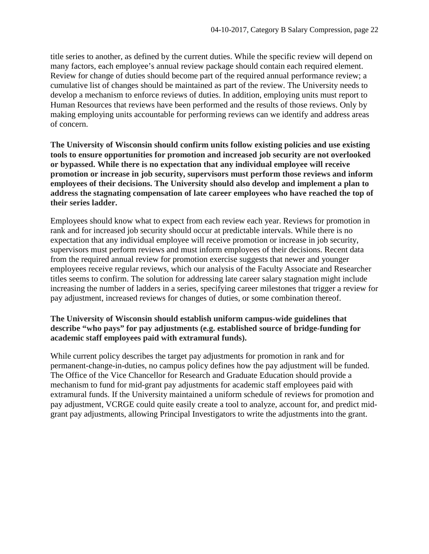title series to another, as defined by the current duties. While the specific review will depend on many factors, each employee's annual review package should contain each required element. Review for change of duties should become part of the required annual performance review; a cumulative list of changes should be maintained as part of the review. The University needs to develop a mechanism to enforce reviews of duties. In addition, employing units must report to Human Resources that reviews have been performed and the results of those reviews. Only by making employing units accountable for performing reviews can we identify and address areas of concern.

<span id="page-21-0"></span>**The University of Wisconsin should confirm units follow existing policies and use existing tools to ensure opportunities for promotion and increased job security are not overlooked or bypassed. While there is no expectation that any individual employee will receive promotion or increase in job security, supervisors must perform those reviews and inform employees of their decisions. The University should also develop and implement a plan to address the stagnating compensation of late career employees who have reached the top of their series ladder.**

Employees should know what to expect from each review each year. Reviews for promotion in rank and for increased job security should occur at predictable intervals. While there is no expectation that any individual employee will receive promotion or increase in job security, supervisors must perform reviews and must inform employees of their decisions. Recent data from the required annual review for promotion exercise suggests that newer and younger employees receive regular reviews, which our analysis of the Faculty Associate and Researcher titles seems to confirm. The solution for addressing late career salary stagnation might include increasing the number of ladders in a series, specifying career milestones that trigger a review for pay adjustment, increased reviews for changes of duties, or some combination thereof.

#### <span id="page-21-1"></span>**The University of Wisconsin should establish uniform campus-wide guidelines that describe "who pays" for pay adjustments (e.g. established source of bridge-funding for academic staff employees paid with extramural funds).**

While current policy describes the target pay adjustments for promotion in rank and for permanent-change-in-duties, no campus policy defines how the pay adjustment will be funded. The Office of the Vice Chancellor for Research and Graduate Education should provide a mechanism to fund for mid-grant pay adjustments for academic staff employees paid with extramural funds. If the University maintained a uniform schedule of reviews for promotion and pay adjustment, VCRGE could quite easily create a tool to analyze, account for, and predict midgrant pay adjustments, allowing Principal Investigators to write the adjustments into the grant.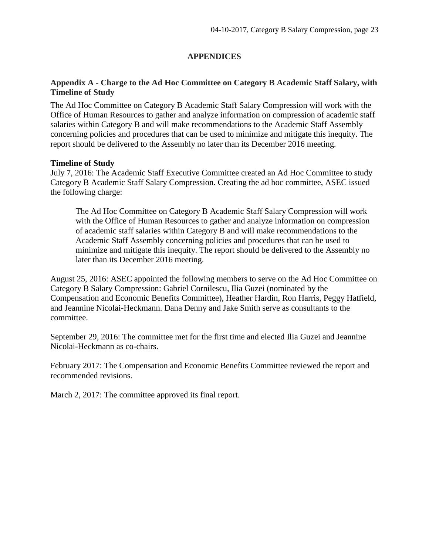## **APPENDICES**

## <span id="page-22-1"></span><span id="page-22-0"></span>**Appendix A - Charge to the Ad Hoc Committee on Category B Academic Staff Salary, with Timeline of Study**

The Ad Hoc Committee on Category B Academic Staff Salary Compression will work with the Office of Human Resources to gather and analyze information on compression of academic staff salaries within Category B and will make recommendations to the Academic Staff Assembly concerning policies and procedures that can be used to minimize and mitigate this inequity. The report should be delivered to the Assembly no later than its December 2016 meeting.

#### **Timeline of Study**

July 7, 2016: The Academic Staff Executive Committee created an Ad Hoc Committee to study Category B Academic Staff Salary Compression. Creating the ad hoc committee, ASEC issued the following charge:

The Ad Hoc Committee on Category B Academic Staff Salary Compression will work with the Office of Human Resources to gather and analyze information on compression of academic staff salaries within Category B and will make recommendations to the Academic Staff Assembly concerning policies and procedures that can be used to minimize and mitigate this inequity. The report should be delivered to the Assembly no later than its December 2016 meeting.

August 25, 2016: ASEC appointed the following members to serve on the Ad Hoc Committee on Category B Salary Compression: Gabriel Cornilescu, Ilia Guzei (nominated by the Compensation and Economic Benefits Committee), Heather Hardin, Ron Harris, Peggy Hatfield, and Jeannine Nicolai-Heckmann. Dana Denny and Jake Smith serve as consultants to the committee.

September 29, 2016: The committee met for the first time and elected Ilia Guzei and Jeannine Nicolai-Heckmann as co-chairs.

February 2017: The Compensation and Economic Benefits Committee reviewed the report and recommended revisions.

March 2, 2017: The committee approved its final report.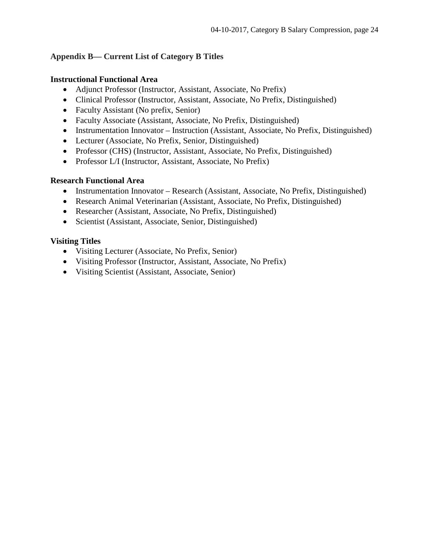## <span id="page-23-0"></span>**Appendix B— Current List of Category B Titles**

## **Instructional Functional Area**

- Adjunct Professor (Instructor, Assistant, Associate, No Prefix)
- Clinical Professor (Instructor, Assistant, Associate, No Prefix, Distinguished)
- Faculty Assistant (No prefix, Senior)
- Faculty Associate (Assistant, Associate, No Prefix, Distinguished)
- Instrumentation Innovator Instruction (Assistant, Associate, No Prefix, Distinguished)
- Lecturer (Associate, No Prefix, Senior, Distinguished)
- Professor (CHS) (Instructor, Assistant, Associate, No Prefix, Distinguished)
- Professor L/I (Instructor, Assistant, Associate, No Prefix)

## **Research Functional Area**

- Instrumentation Innovator Research (Assistant, Associate, No Prefix, Distinguished)
- Research Animal Veterinarian (Assistant, Associate, No Prefix, Distinguished)
- Researcher (Assistant, Associate, No Prefix, Distinguished)
- Scientist (Assistant, Associate, Senior, Distinguished)

## **Visiting Titles**

- Visiting Lecturer (Associate, No Prefix, Senior)
- Visiting Professor (Instructor, Assistant, Associate, No Prefix)
- Visiting Scientist (Assistant, Associate, Senior)